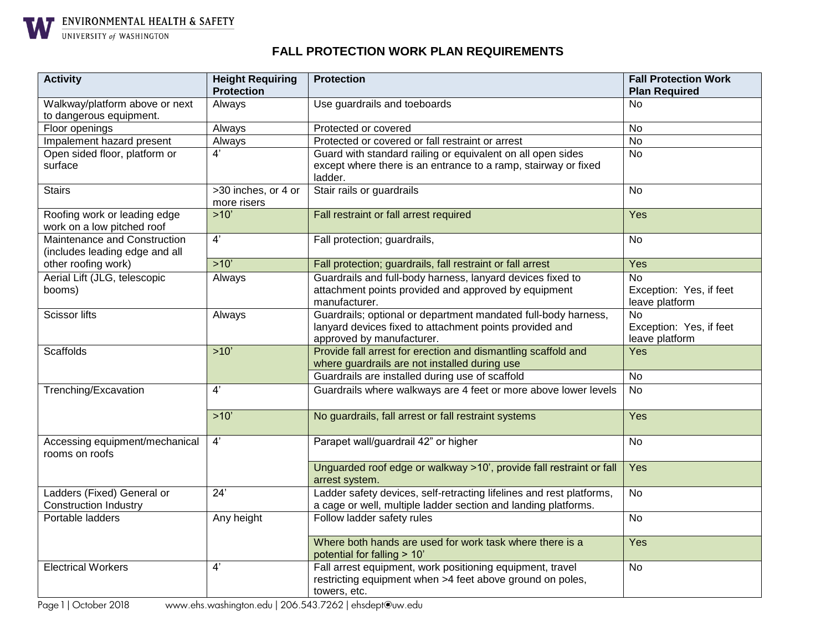

 $\frac{\textbf{ENV} \textbf{IN} \textbf{ON} \textbf{M} \textbf{ENTAL} }{\textbf{UNIV} \textbf{E}\textbf{NSI} \textbf{I} \textbf{Y} \textbf{of} \textbf{WS} \textbf{H} \textbf{N} \textbf{G} \textbf{S}}$ 

## **FALL PROTECTION WORK PLAN REQUIREMENTS**

| <b>Activity</b>                                                | <b>Height Requiring</b>            | <b>Protection</b>                                                                                                                                      | <b>Fall Protection Work</b>                            |
|----------------------------------------------------------------|------------------------------------|--------------------------------------------------------------------------------------------------------------------------------------------------------|--------------------------------------------------------|
|                                                                | <b>Protection</b>                  |                                                                                                                                                        | <b>Plan Required</b>                                   |
| Walkway/platform above or next                                 | Always                             | Use guardrails and toeboards                                                                                                                           | No.                                                    |
| to dangerous equipment.                                        |                                    |                                                                                                                                                        |                                                        |
| Floor openings                                                 | Always                             | Protected or covered                                                                                                                                   | <b>No</b>                                              |
| Impalement hazard present                                      | Always                             | Protected or covered or fall restraint or arrest                                                                                                       | $\overline{N}$                                         |
| Open sided floor, platform or                                  | $\overline{4'}$                    | Guard with standard railing or equivalent on all open sides                                                                                            | $\overline{N}$                                         |
| surface                                                        |                                    | except where there is an entrance to a ramp, stairway or fixed<br>ladder.                                                                              |                                                        |
| <b>Stairs</b>                                                  | >30 inches, or 4 or<br>more risers | Stair rails or guardrails                                                                                                                              | <b>No</b>                                              |
| Roofing work or leading edge<br>work on a low pitched roof     | $>10'$                             | Fall restraint or fall arrest required                                                                                                                 | Yes                                                    |
| Maintenance and Construction<br>(includes leading edge and all | 4'                                 | Fall protection; guardrails,                                                                                                                           | <b>No</b>                                              |
| other roofing work)                                            | $>10'$                             | Fall protection; guardrails, fall restraint or fall arrest                                                                                             | Yes                                                    |
| Aerial Lift (JLG, telescopic<br>booms)                         | Always                             | Guardrails and full-body harness, lanyard devices fixed to<br>attachment points provided and approved by equipment<br>manufacturer.                    | No<br>Exception: Yes, if feet<br>leave platform        |
| <b>Scissor lifts</b>                                           | Always                             | Guardrails; optional or department mandated full-body harness,<br>lanyard devices fixed to attachment points provided and<br>approved by manufacturer. | <b>No</b><br>Exception: Yes, if feet<br>leave platform |
| <b>Scaffolds</b>                                               | $>10'$                             | Provide fall arrest for erection and dismantling scaffold and<br>where guardrails are not installed during use                                         | Yes                                                    |
|                                                                |                                    | Guardrails are installed during use of scaffold                                                                                                        | <b>No</b>                                              |
| Trenching/Excavation                                           | 4'                                 | Guardrails where walkways are 4 feet or more above lower levels                                                                                        | $\overline{N}$                                         |
|                                                                | $>10'$                             | No guardrails, fall arrest or fall restraint systems                                                                                                   | Yes                                                    |
| Accessing equipment/mechanical<br>rooms on roofs               | 4'                                 | Parapet wall/guardrail 42" or higher                                                                                                                   | <b>No</b>                                              |
|                                                                |                                    | Unguarded roof edge or walkway >10', provide fall restraint or fall<br>arrest system.                                                                  | Yes                                                    |
| Ladders (Fixed) General or<br><b>Construction Industry</b>     | 24'                                | Ladder safety devices, self-retracting lifelines and rest platforms,<br>a cage or well, multiple ladder section and landing platforms.                 | <b>No</b>                                              |
| Portable ladders                                               | Any height                         | Follow ladder safety rules                                                                                                                             | <b>No</b>                                              |
|                                                                |                                    | Where both hands are used for work task where there is a<br>potential for falling > 10'                                                                | Yes                                                    |
| <b>Electrical Workers</b>                                      | 4'                                 | Fall arrest equipment, work positioning equipment, travel<br>restricting equipment when >4 feet above ground on poles,<br>towers, etc.                 | <b>No</b>                                              |